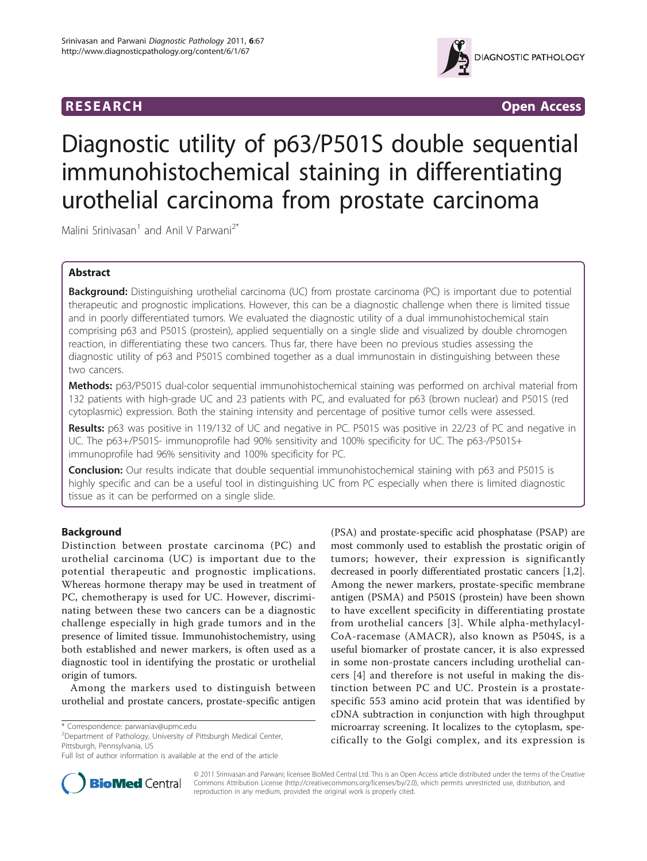



# Diagnostic utility of p63/P501S double sequential immunohistochemical staining in differentiating urothelial carcinoma from prostate carcinoma

Malini Srinivasan<sup>1</sup> and Anil V Parwani<sup>2\*</sup>

# Abstract

Background: Distinguishing urothelial carcinoma (UC) from prostate carcinoma (PC) is important due to potential therapeutic and prognostic implications. However, this can be a diagnostic challenge when there is limited tissue and in poorly differentiated tumors. We evaluated the diagnostic utility of a dual immunohistochemical stain comprising p63 and P501S (prostein), applied sequentially on a single slide and visualized by double chromogen reaction, in differentiating these two cancers. Thus far, there have been no previous studies assessing the diagnostic utility of p63 and P501S combined together as a dual immunostain in distinguishing between these two cancers.

Methods: p63/P501S dual-color sequential immunohistochemical staining was performed on archival material from 132 patients with high-grade UC and 23 patients with PC, and evaluated for p63 (brown nuclear) and P501S (red cytoplasmic) expression. Both the staining intensity and percentage of positive tumor cells were assessed.

Results: p63 was positive in 119/132 of UC and negative in PC. P501S was positive in 22/23 of PC and negative in UC. The p63+/P501S- immunoprofile had 90% sensitivity and 100% specificity for UC. The p63-/P501S+ immunoprofile had 96% sensitivity and 100% specificity for PC.

Conclusion: Our results indicate that double sequential immunohistochemical staining with p63 and P501S is highly specific and can be a useful tool in distinguishing UC from PC especially when there is limited diagnostic tissue as it can be performed on a single slide.

# Background

Distinction between prostate carcinoma (PC) and urothelial carcinoma (UC) is important due to the potential therapeutic and prognostic implications. Whereas hormone therapy may be used in treatment of PC, chemotherapy is used for UC. However, discriminating between these two cancers can be a diagnostic challenge especially in high grade tumors and in the presence of limited tissue. Immunohistochemistry, using both established and newer markers, is often used as a diagnostic tool in identifying the prostatic or urothelial origin of tumors.

Among the markers used to distinguish between urothelial and prostate cancers, prostate-specific antigen

<sup>2</sup> Department of Pathology, University of Pittsburgh Medical Center, Pittsburgh, Pennsylvania, US

(PSA) and prostate-specific acid phosphatase (PSAP) are most commonly used to establish the prostatic origin of tumors; however, their expression is significantly decreased in poorly differentiated prostatic cancers [\[1,2](#page-4-0)]. Among the newer markers, prostate-specific membrane antigen (PSMA) and P501S (prostein) have been shown to have excellent specificity in differentiating prostate from urothelial cancers [[3\]](#page-4-0). While alpha-methylacyl-CoA-racemase (AMACR), also known as P504S, is a useful biomarker of prostate cancer, it is also expressed in some non-prostate cancers including urothelial cancers [[4\]](#page-4-0) and therefore is not useful in making the distinction between PC and UC. Prostein is a prostatespecific 553 amino acid protein that was identified by cDNA subtraction in conjunction with high throughput microarray screening. It localizes to the cytoplasm, specifically to the Golgi complex, and its expression is



© 2011 Srinivasan and Parwani; licensee BioMed Central Ltd. This is an Open Access article distributed under the terms of the Creative Commons Attribution License [\(http://creativecommons.org/licenses/by/2.0](http://creativecommons.org/licenses/by/2.0)), which permits unrestricted use, distribution, and reproduction in any medium, provided the original work is properly cited.

<sup>\*</sup> Correspondence: [parwaniav@upmc.edu](mailto:parwaniav@upmc.edu)

Full list of author information is available at the end of the article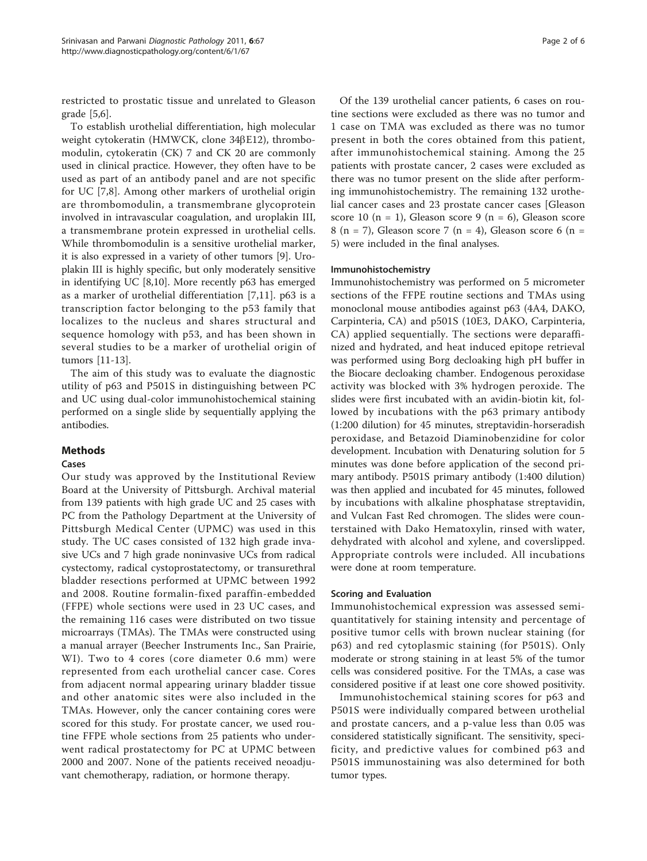restricted to prostatic tissue and unrelated to Gleason grade [\[5,6](#page-4-0)].

To establish urothelial differentiation, high molecular weight cytokeratin (HMWCK, clone 34βE12), thrombomodulin, cytokeratin (CK) 7 and CK 20 are commonly used in clinical practice. However, they often have to be used as part of an antibody panel and are not specific for UC [[7,](#page-4-0)[8](#page-5-0)]. Among other markers of urothelial origin are thrombomodulin, a transmembrane glycoprotein involved in intravascular coagulation, and uroplakin III, a transmembrane protein expressed in urothelial cells. While thrombomodulin is a sensitive urothelial marker, it is also expressed in a variety of other tumors [[9\]](#page-5-0). Uroplakin III is highly specific, but only moderately sensitive in identifying UC [\[8,10](#page-5-0)]. More recently p63 has emerged as a marker of urothelial differentiation [[7](#page-4-0)[,11](#page-5-0)]. p63 is a transcription factor belonging to the p53 family that localizes to the nucleus and shares structural and sequence homology with p53, and has been shown in several studies to be a marker of urothelial origin of tumors [\[11-13](#page-5-0)].

The aim of this study was to evaluate the diagnostic utility of p63 and P501S in distinguishing between PC and UC using dual-color immunohistochemical staining performed on a single slide by sequentially applying the antibodies.

# **Methods**

## Cases

Our study was approved by the Institutional Review Board at the University of Pittsburgh. Archival material from 139 patients with high grade UC and 25 cases with PC from the Pathology Department at the University of Pittsburgh Medical Center (UPMC) was used in this study. The UC cases consisted of 132 high grade invasive UCs and 7 high grade noninvasive UCs from radical cystectomy, radical cystoprostatectomy, or transurethral bladder resections performed at UPMC between 1992 and 2008. Routine formalin-fixed paraffin-embedded (FFPE) whole sections were used in 23 UC cases, and the remaining 116 cases were distributed on two tissue microarrays (TMAs). The TMAs were constructed using a manual arrayer (Beecher Instruments Inc., San Prairie, WI). Two to 4 cores (core diameter 0.6 mm) were represented from each urothelial cancer case. Cores from adjacent normal appearing urinary bladder tissue and other anatomic sites were also included in the TMAs. However, only the cancer containing cores were scored for this study. For prostate cancer, we used routine FFPE whole sections from 25 patients who underwent radical prostatectomy for PC at UPMC between 2000 and 2007. None of the patients received neoadjuvant chemotherapy, radiation, or hormone therapy.

Of the 139 urothelial cancer patients, 6 cases on routine sections were excluded as there was no tumor and 1 case on TMA was excluded as there was no tumor present in both the cores obtained from this patient, after immunohistochemical staining. Among the 25 patients with prostate cancer, 2 cases were excluded as there was no tumor present on the slide after performing immunohistochemistry. The remaining 132 urothelial cancer cases and 23 prostate cancer cases [Gleason score 10 (n = 1), Gleason score 9 (n = 6), Gleason score 8 (n = 7), Gleason score 7 (n = 4), Gleason score 6 (n = 5) were included in the final analyses.

## Immunohistochemistry

Immunohistochemistry was performed on 5 micrometer sections of the FFPE routine sections and TMAs using monoclonal mouse antibodies against p63 (4A4, DAKO, Carpinteria, CA) and p501S (10E3, DAKO, Carpinteria, CA) applied sequentially. The sections were deparaffinized and hydrated, and heat induced epitope retrieval was performed using Borg decloaking high pH buffer in the Biocare decloaking chamber. Endogenous peroxidase activity was blocked with 3% hydrogen peroxide. The slides were first incubated with an avidin-biotin kit, followed by incubations with the p63 primary antibody (1:200 dilution) for 45 minutes, streptavidin-horseradish peroxidase, and Betazoid Diaminobenzidine for color development. Incubation with Denaturing solution for 5 minutes was done before application of the second primary antibody. P501S primary antibody (1:400 dilution) was then applied and incubated for 45 minutes, followed by incubations with alkaline phosphatase streptavidin, and Vulcan Fast Red chromogen. The slides were counterstained with Dako Hematoxylin, rinsed with water, dehydrated with alcohol and xylene, and coverslipped. Appropriate controls were included. All incubations were done at room temperature.

## Scoring and Evaluation

Immunohistochemical expression was assessed semiquantitatively for staining intensity and percentage of positive tumor cells with brown nuclear staining (for p63) and red cytoplasmic staining (for P501S). Only moderate or strong staining in at least 5% of the tumor cells was considered positive. For the TMAs, a case was considered positive if at least one core showed positivity.

Immunohistochemical staining scores for p63 and P501S were individually compared between urothelial and prostate cancers, and a p-value less than 0.05 was considered statistically significant. The sensitivity, specificity, and predictive values for combined p63 and P501S immunostaining was also determined for both tumor types.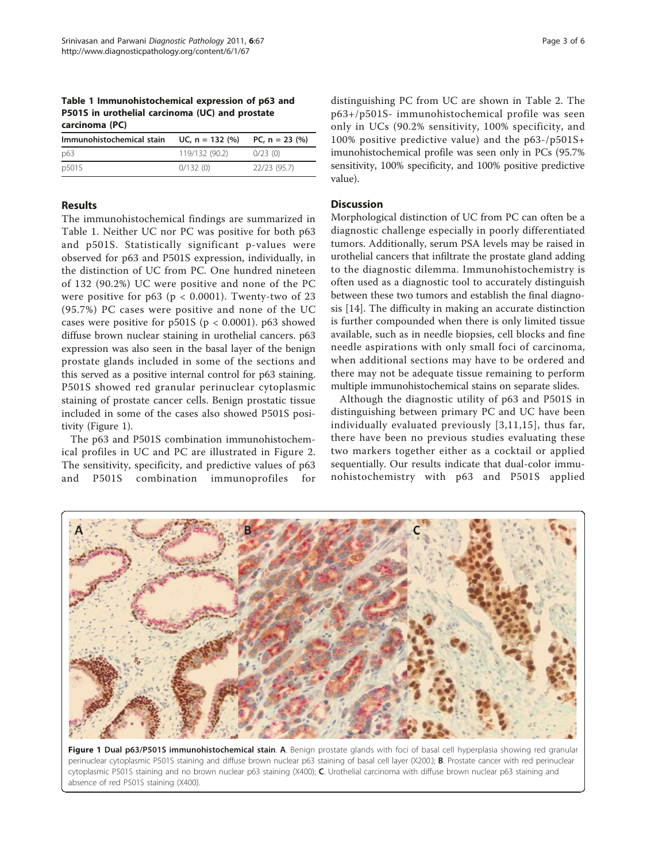Table 1 Immunohistochemical expression of p63 and P501S in urothelial carcinoma (UC) and prostate carcinoma (PC)

| Immunohistochemical stain | UC, $n = 132$ (%) | PC, $n = 23$ (%) |
|---------------------------|-------------------|------------------|
| p63                       | 119/132 (90.2)    | 0/23(0)          |
| p501S                     | 0/132(0)          | 22/23 (95.7)     |

## Results

The immunohistochemical findings are summarized in Table 1. Neither UC nor PC was positive for both p63 and p501S. Statistically significant p-values were observed for p63 and P501S expression, individually, in the distinction of UC from PC. One hundred nineteen of 132 (90.2%) UC were positive and none of the PC were positive for  $p63$  ( $p < 0.0001$ ). Twenty-two of 23 (95.7%) PC cases were positive and none of the UC cases were positive for  $p501S$  ( $p < 0.0001$ ).  $p63$  showed diffuse brown nuclear staining in urothelial cancers. p63 expression was also seen in the basal layer of the benign prostate glands included in some of the sections and this served as a positive internal control for p63 staining. P501S showed red granular perinuclear cytoplasmic staining of prostate cancer cells. Benign prostatic tissue included in some of the cases also showed P501S positivity (Figure 1).

The p63 and P501S combination immunohistochemical profiles in UC and PC are illustrated in Figure [2](#page-3-0). The sensitivity, specificity, and predictive values of p63 and P501S combination immunoprofiles for distinguishing PC from UC are shown in Table [2](#page-3-0). The p63+/p501S- immunohistochemical profile was seen only in UCs (90.2% sensitivity, 100% specificity, and 100% positive predictive value) and the p63-/p501S+ imunohistochemical profile was seen only in PCs (95.7% sensitivity, 100% specificity, and 100% positive predictive value).

# **Discussion**

Morphological distinction of UC from PC can often be a diagnostic challenge especially in poorly differentiated tumors. Additionally, serum PSA levels may be raised in urothelial cancers that infiltrate the prostate gland adding to the diagnostic dilemma. Immunohistochemistry is often used as a diagnostic tool to accurately distinguish between these two tumors and establish the final diagnosis [\[14](#page-5-0)]. The difficulty in making an accurate distinction is further compounded when there is only limited tissue available, such as in needle biopsies, cell blocks and fine needle aspirations with only small foci of carcinoma, when additional sections may have to be ordered and there may not be adequate tissue remaining to perform multiple immunohistochemical stains on separate slides.

Although the diagnostic utility of p63 and P501S in distinguishing between primary PC and UC have been individually evaluated previously [[3,](#page-4-0)[11](#page-5-0),[15](#page-5-0)], thus far, there have been no previous studies evaluating these two markers together either as a cocktail or applied sequentially. Our results indicate that dual-color immunohistochemistry with p63 and P501S applied



Figure 1 Dual p63/P501S immunohistochemical stain. A. Benign prostate glands with foci of basal cell hyperplasia showing red granular perinuclear cytoplasmic P501S staining and diffuse brown nuclear p63 staining of basal cell layer (X200.); **B**. Prostate cancer with red perinuclear cytoplasmic P501S staining and no brown nuclear p63 staining (X400); C. Urothelial carcinoma with diffuse brown nuclear p63 staining and absence of red P501S staining (X400).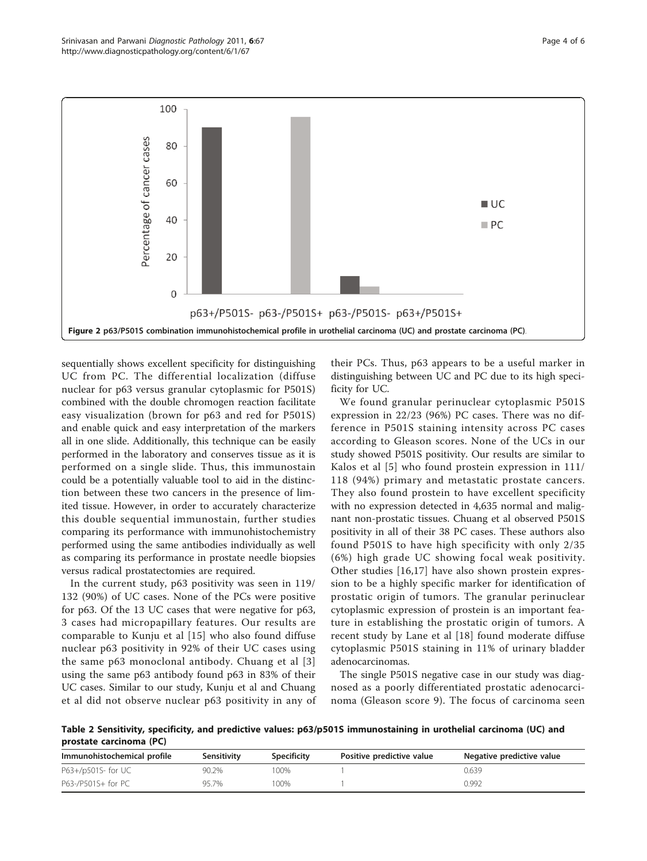<span id="page-3-0"></span>

sequentially shows excellent specificity for distinguishing UC from PC. The differential localization (diffuse nuclear for p63 versus granular cytoplasmic for P501S) combined with the double chromogen reaction facilitate easy visualization (brown for p63 and red for P501S) and enable quick and easy interpretation of the markers all in one slide. Additionally, this technique can be easily performed in the laboratory and conserves tissue as it is performed on a single slide. Thus, this immunostain could be a potentially valuable tool to aid in the distinction between these two cancers in the presence of limited tissue. However, in order to accurately characterize this double sequential immunostain, further studies comparing its performance with immunohistochemistry performed using the same antibodies individually as well as comparing its performance in prostate needle biopsies versus radical prostatectomies are required.

In the current study, p63 positivity was seen in 119/ 132 (90%) of UC cases. None of the PCs were positive for p63. Of the 13 UC cases that were negative for p63, 3 cases had micropapillary features. Our results are comparable to Kunju et al [[15](#page-5-0)] who also found diffuse nuclear p63 positivity in 92% of their UC cases using the same p63 monoclonal antibody. Chuang et al [[3](#page-4-0)] using the same p63 antibody found p63 in 83% of their UC cases. Similar to our study, Kunju et al and Chuang et al did not observe nuclear p63 positivity in any of

their PCs. Thus, p63 appears to be a useful marker in distinguishing between UC and PC due to its high specificity for UC.

We found granular perinuclear cytoplasmic P501S expression in 22/23 (96%) PC cases. There was no difference in P501S staining intensity across PC cases according to Gleason scores. None of the UCs in our study showed P501S positivity. Our results are similar to Kalos et al [[5\]](#page-4-0) who found prostein expression in 111/ 118 (94%) primary and metastatic prostate cancers. They also found prostein to have excellent specificity with no expression detected in 4,635 normal and malignant non-prostatic tissues. Chuang et al observed P501S positivity in all of their 38 PC cases. These authors also found P501S to have high specificity with only 2/35 (6%) high grade UC showing focal weak positivity. Other studies [[16,17](#page-5-0)] have also shown prostein expression to be a highly specific marker for identification of prostatic origin of tumors. The granular perinuclear cytoplasmic expression of prostein is an important feature in establishing the prostatic origin of tumors. A recent study by Lane et al [[18\]](#page-5-0) found moderate diffuse cytoplasmic P501S staining in 11% of urinary bladder adenocarcinomas.

The single P501S negative case in our study was diagnosed as a poorly differentiated prostatic adenocarcinoma (Gleason score 9). The focus of carcinoma seen

Table 2 Sensitivity, specificity, and predictive values: p63/p501S immunostaining in urothelial carcinoma (UC) and prostate carcinoma (PC)

| Immunohistochemical profile | Sensitivity | <b>Specificity</b> | Positive predictive value | Negative predictive value |
|-----------------------------|-------------|--------------------|---------------------------|---------------------------|
| P63+/p501S- for UC          | 90.2%       | 100%               |                           | 0.639                     |
| P63-/P501S+ for PC          | 957%        | 100%               |                           | 0.992                     |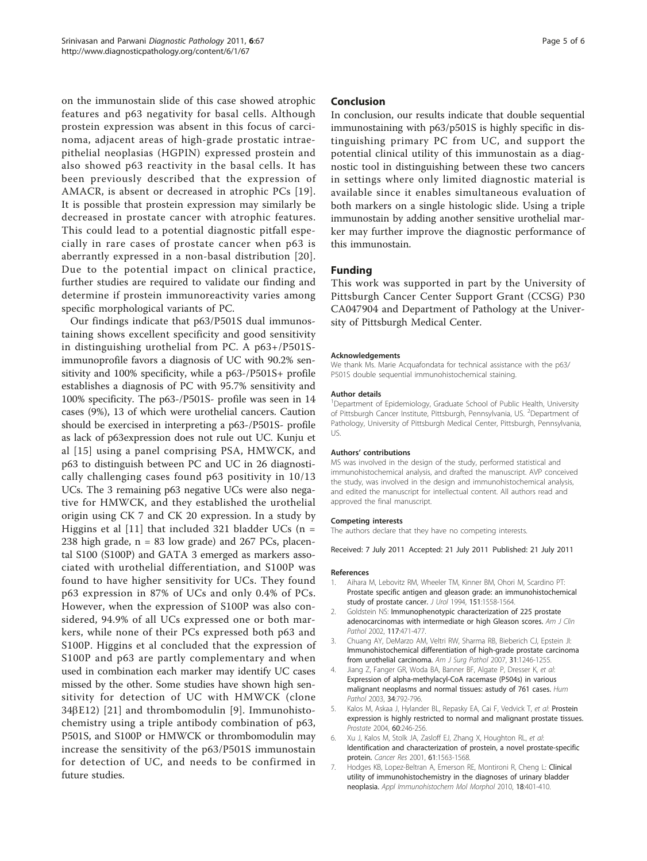<span id="page-4-0"></span>on the immunostain slide of this case showed atrophic features and p63 negativity for basal cells. Although prostein expression was absent in this focus of carcinoma, adjacent areas of high-grade prostatic intraepithelial neoplasias (HGPIN) expressed prostein and also showed p63 reactivity in the basal cells. It has been previously described that the expression of AMACR, is absent or decreased in atrophic PCs [[19](#page-5-0)]. It is possible that prostein expression may similarly be decreased in prostate cancer with atrophic features. This could lead to a potential diagnostic pitfall especially in rare cases of prostate cancer when p63 is aberrantly expressed in a non-basal distribution [[20\]](#page-5-0). Due to the potential impact on clinical practice, further studies are required to validate our finding and determine if prostein immunoreactivity varies among specific morphological variants of PC.

Our findings indicate that p63/P501S dual immunostaining shows excellent specificity and good sensitivity in distinguishing urothelial from PC. A p63+/P501Simmunoprofile favors a diagnosis of UC with 90.2% sensitivity and 100% specificity, while a p63-/P501S+ profile establishes a diagnosis of PC with 95.7% sensitivity and 100% specificity. The p63-/P501S- profile was seen in 14 cases (9%), 13 of which were urothelial cancers. Caution should be exercised in interpreting a p63-/P501S- profile as lack of p63expression does not rule out UC. Kunju et al [[15\]](#page-5-0) using a panel comprising PSA, HMWCK, and p63 to distinguish between PC and UC in 26 diagnostically challenging cases found p63 positivity in 10/13 UCs. The 3 remaining p63 negative UCs were also negative for HMWCK, and they established the urothelial origin using CK 7 and CK 20 expression. In a study by Higgins et al [[11\]](#page-5-0) that included 321 bladder UCs ( $n =$ 238 high grade,  $n = 83$  low grade) and 267 PCs, placental S100 (S100P) and GATA 3 emerged as markers associated with urothelial differentiation, and S100P was found to have higher sensitivity for UCs. They found p63 expression in 87% of UCs and only 0.4% of PCs. However, when the expression of S100P was also considered, 94.9% of all UCs expressed one or both markers, while none of their PCs expressed both p63 and S100P. Higgins et al concluded that the expression of S100P and p63 are partly complementary and when used in combination each marker may identify UC cases missed by the other. Some studies have shown high sensitivity for detection of UC with HMWCK (clone  $34\beta$ E12) [[21](#page-5-0)] and thrombomodulin [[9](#page-5-0)]. Immunohistochemistry using a triple antibody combination of p63, P501S, and S100P or HMWCK or thrombomodulin may increase the sensitivity of the p63/P501S immunostain for detection of UC, and needs to be confirmed in future studies.

## Conclusion

In conclusion, our results indicate that double sequential immunostaining with p63/p501S is highly specific in distinguishing primary PC from UC, and support the potential clinical utility of this immunostain as a diagnostic tool in distinguishing between these two cancers in settings where only limited diagnostic material is available since it enables simultaneous evaluation of both markers on a single histologic slide. Using a triple immunostain by adding another sensitive urothelial marker may further improve the diagnostic performance of this immunostain.

## Funding

This work was supported in part by the University of Pittsburgh Cancer Center Support Grant (CCSG) P30 CA047904 and Department of Pathology at the University of Pittsburgh Medical Center.

#### Acknowledgements

We thank Ms. Marie Acquafondata for technical assistance with the p63/ P501S double sequential immunohistochemical staining.

#### Author details

<sup>1</sup>Department of Epidemiology, Graduate School of Public Health, University of Pittsburgh Cancer Institute, Pittsburgh, Pennsylvania, US. <sup>2</sup>Department of Pathology, University of Pittsburgh Medical Center, Pittsburgh, Pennsylvania, US.

#### Authors' contributions

MS was involved in the design of the study, performed statistical and immunohistochemical analysis, and drafted the manuscript. AVP conceived the study, was involved in the design and immunohistochemical analysis, and edited the manuscript for intellectual content. All authors read and approved the final manuscript.

#### Competing interests

The authors declare that they have no competing interests.

Received: 7 July 2011 Accepted: 21 July 2011 Published: 21 July 2011

#### References

- 1. Aihara M, Lebovitz RM, Wheeler TM, Kinner BM, Ohori M, Scardino PT: [Prostate specific antigen and gleason grade: an immunohistochemical](http://www.ncbi.nlm.nih.gov/pubmed/7514688?dopt=Abstract) [study of prostate cancer.](http://www.ncbi.nlm.nih.gov/pubmed/7514688?dopt=Abstract) J Urol 1994, 151:1558-1564
- 2. Goldstein NS: [Immunophenotypic characterization of 225 prostate](http://www.ncbi.nlm.nih.gov/pubmed/11888088?dopt=Abstract) [adenocarcinomas with intermediate or high Gleason scores.](http://www.ncbi.nlm.nih.gov/pubmed/11888088?dopt=Abstract) Am J Clin Pathol 2002, 117:471-477.
- Pathol 2002, <sup>117</sup>:471-477. 3. Chuang AY, DeMarzo AM, Veltri RW, Sharma RB, Bieberich CJ, Epstein JI: [Immunohistochemical differentiation of high-grade prostate carcinoma](http://www.ncbi.nlm.nih.gov/pubmed/17667550?dopt=Abstract) [from urothelial carcinoma.](http://www.ncbi.nlm.nih.gov/pubmed/17667550?dopt=Abstract) Am J Surg Pathol 2007, 31:1246-1255.
- 4. Jiang Z, Fanger GR, Woda BA, Banner BF, Algate P, Dresser K, et al: [Expression of alpha-methylacyl-CoA racemase \(P504s\) in various](http://www.ncbi.nlm.nih.gov/pubmed/14506641?dopt=Abstract) [malignant neoplasms and normal tissues: astudy of 761 cases.](http://www.ncbi.nlm.nih.gov/pubmed/14506641?dopt=Abstract) Hum Pathol 2003, <sup>34</sup>:792-796.
- 5. Kalos M, Askaa J, Hylander BL, Repasky EA, Cai F, Vedvick T, et al: [Prostein](http://www.ncbi.nlm.nih.gov/pubmed/15176054?dopt=Abstract) [expression is highly restricted to normal and malignant prostate tissues.](http://www.ncbi.nlm.nih.gov/pubmed/15176054?dopt=Abstract) Prostate 2004, <sup>60</sup>:246-256.
- 6. Xu J, Kalos M, Stolk JA, Zasloff EJ, Zhang X, Houghton RL, et al: [Identification and characterization of prostein, a novel prostate-specific](http://www.ncbi.nlm.nih.gov/pubmed/11245466?dopt=Abstract) [protein.](http://www.ncbi.nlm.nih.gov/pubmed/11245466?dopt=Abstract) Cancer Res 2001, <sup>61</sup>:1563-1568.
- 7. Hodges KB, Lopez-Beltran A, Emerson RE, Montironi R, Cheng L: [Clinical](http://www.ncbi.nlm.nih.gov/pubmed/20505509?dopt=Abstract) [utility of immunohistochemistry in the diagnoses of urinary bladder](http://www.ncbi.nlm.nih.gov/pubmed/20505509?dopt=Abstract) [neoplasia.](http://www.ncbi.nlm.nih.gov/pubmed/20505509?dopt=Abstract) Appl Immunohistochem Mol Morphol 2010, <sup>18</sup>:401-410.